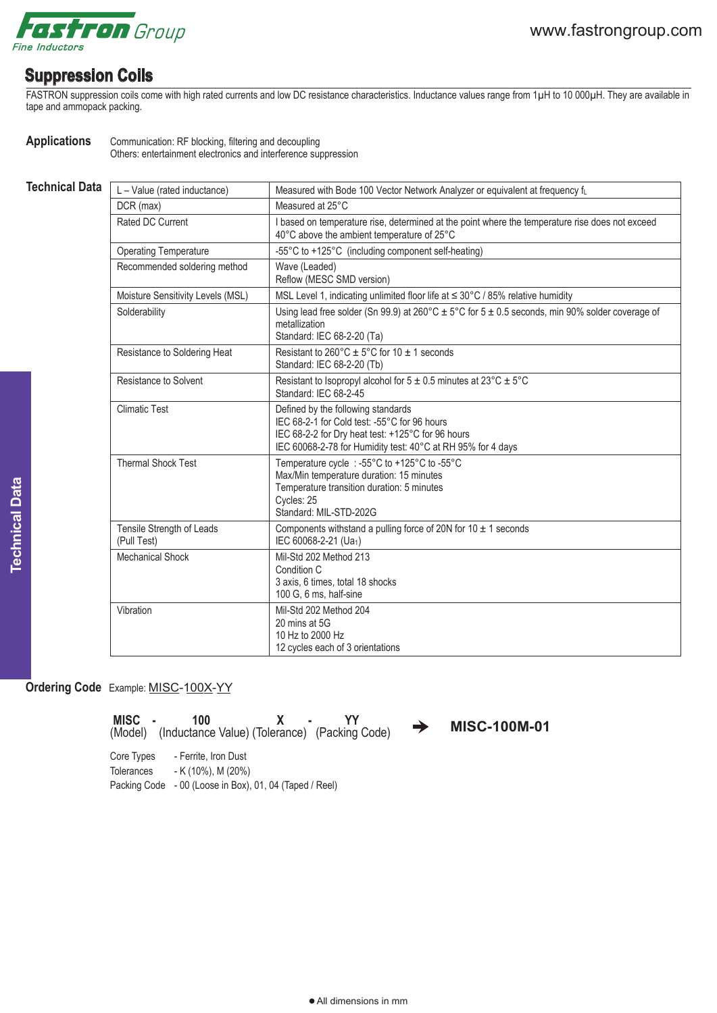

## **Suppression Coils**

FASTRON suppression coils come with high rated currents and low DC resistance characteristics. Inductance values range from 1µH to 10 000µH. They are available in tape and ammopack packing.

**Applications** Communication: RF blocking, filtering and decoupling Others: entertainment electronics and interference suppression

| <b>Technical Data</b> | L - Value (rated inductance)             | Measured with Bode 100 Vector Network Analyzer or equivalent at frequency fL                                                                                                                           |
|-----------------------|------------------------------------------|--------------------------------------------------------------------------------------------------------------------------------------------------------------------------------------------------------|
|                       | DCR (max)                                | Measured at 25°C                                                                                                                                                                                       |
|                       | Rated DC Current                         | I based on temperature rise, determined at the point where the temperature rise does not exceed<br>40°C above the ambient temperature of 25°C                                                          |
|                       | <b>Operating Temperature</b>             | -55°C to +125°C (including component self-heating)                                                                                                                                                     |
|                       | Recommended soldering method             | Wave (Leaded)<br>Reflow (MESC SMD version)                                                                                                                                                             |
|                       | Moisture Sensitivity Levels (MSL)        | MSL Level 1, indicating unlimited floor life at $\leq$ 30°C / 85% relative humidity                                                                                                                    |
|                       | Solderability                            | Using lead free solder (Sn 99.9) at 260°C $\pm$ 5°C for 5 $\pm$ 0.5 seconds, min 90% solder coverage of<br>metallization<br>Standard: IEC 68-2-20 (Ta)                                                 |
|                       | Resistance to Soldering Heat             | Resistant to $260^{\circ}$ C ± 5°C for 10 ± 1 seconds<br>Standard: IEC 68-2-20 (Tb)                                                                                                                    |
|                       | <b>Resistance to Solvent</b>             | Resistant to Isopropyl alcohol for $5 \pm 0.5$ minutes at 23°C $\pm 5$ °C<br>Standard: IEC 68-2-45                                                                                                     |
|                       | <b>Climatic Test</b>                     | Defined by the following standards<br>IEC 68-2-1 for Cold test: -55°C for 96 hours<br>IEC 68-2-2 for Dry heat test: +125°C for 96 hours<br>IEC 60068-2-78 for Humidity test: 40°C at RH 95% for 4 days |
|                       | <b>Thermal Shock Test</b>                | Temperature cycle : -55°C to +125°C to -55°C<br>Max/Min temperature duration: 15 minutes<br>Temperature transition duration: 5 minutes<br>Cycles: 25<br>Standard: MIL-STD-202G                         |
|                       | Tensile Strength of Leads<br>(Pull Test) | Components withstand a pulling force of 20N for 10 $\pm$ 1 seconds<br>IEC 60068-2-21 (Ua1)                                                                                                             |
|                       | <b>Mechanical Shock</b>                  | Mil-Std 202 Method 213<br>Condition C<br>3 axis, 6 times, total 18 shocks<br>100 G, 6 ms, half-sine                                                                                                    |
|                       | Vibration                                | Mil-Std 202 Method 204<br>20 mins at 5G<br>10 Hz to 2000 Hz<br>12 cycles each of 3 orientations                                                                                                        |

## **Ordering Code** Example: MISC-100X-YY

Core Types - Ferrite, Iron Dust **MISC - 100 X - YY**<br>(Model) (Inductance Value) (Tolerance) (Packing Code) → MISC-100M-01

Tolerances - K (10%), M (20%) Packing Code - 00 (Loose in Box), 01, 04 (Taped / Reel)